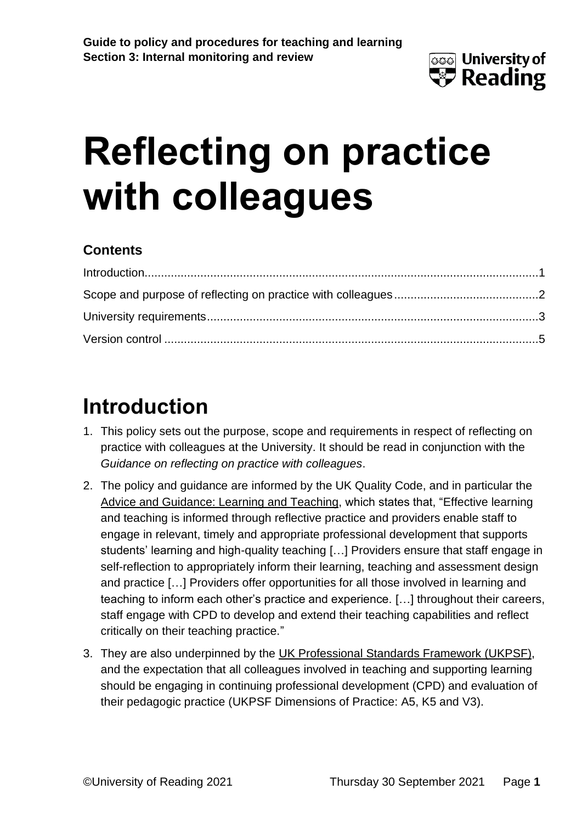

# **Reflecting on practice with colleagues**

#### **Contents**

## <span id="page-0-0"></span>**Introduction**

- 1. This policy sets out the purpose, scope and requirements in respect of reflecting on practice with colleagues at the University. It should be read in conjunction with the *Guidance on reflecting on practice with colleagues*.
- 2. The policy and guidance are informed by the UK Quality Code, and in particular the [Advice and Guidance: Learning and Teaching,](https://www.qaa.ac.uk/en/quality-code/advice-and-guidance/learning-and-teaching) which states that, "Effective learning and teaching is informed through reflective practice and providers enable staff to engage in relevant, timely and appropriate professional development that supports students' learning and high-quality teaching […] Providers ensure that staff engage in self-reflection to appropriately inform their learning, teaching and assessment design and practice […] Providers offer opportunities for all those involved in learning and teaching to inform each other's practice and experience. […] throughout their careers, staff engage with CPD to develop and extend their teaching capabilities and reflect critically on their teaching practice."
- 3. They are also underpinned by the [UK Professional Standards Framework \(UKPSF\),](https://www.advance-he.ac.uk/guidance/teaching-and-learning/ukpsf) and the expectation that all colleagues involved in teaching and supporting learning should be engaging in continuing professional development (CPD) and evaluation of their pedagogic practice (UKPSF Dimensions of Practice: A5, K5 and V3).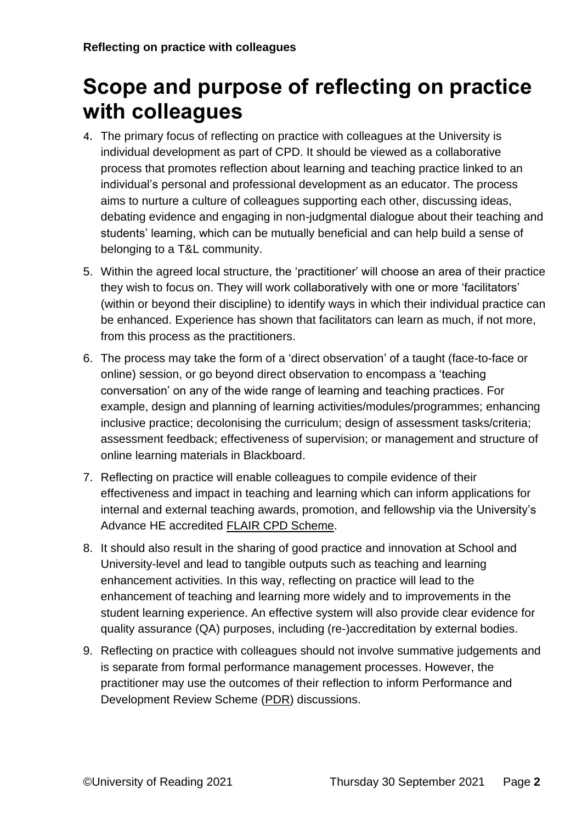## <span id="page-1-0"></span>**Scope and purpose of reflecting on practice with colleagues**

- 4. The primary focus of reflecting on practice with colleagues at the University is individual development as part of CPD. It should be viewed as a collaborative process that promotes reflection about learning and teaching practice linked to an individual's personal and professional development as an educator. The process aims to nurture a culture of colleagues supporting each other, discussing ideas, debating evidence and engaging in non-judgmental dialogue about their teaching and students' learning, which can be mutually beneficial and can help build a sense of belonging to a T&L community.
- 5. Within the agreed local structure, the 'practitioner' will choose an area of their practice they wish to focus on. They will work collaboratively with one or more 'facilitators' (within or beyond their discipline) to identify ways in which their individual practice can be enhanced. Experience has shown that facilitators can learn as much, if not more, from this process as the practitioners.
- 6. The process may take the form of a 'direct observation' of a taught (face-to-face or online) session, or go beyond direct observation to encompass a 'teaching conversation' on any of the wide range of learning and teaching practices. For example, design and planning of learning activities/modules/programmes; enhancing inclusive practice; decolonising the curriculum; design of assessment tasks/criteria; assessment feedback; effectiveness of supervision; or management and structure of online learning materials in Blackboard.
- 7. Reflecting on practice will enable colleagues to compile evidence of their effectiveness and impact in teaching and learning which can inform applications for internal and external teaching awards, promotion, and fellowship via the University's Advance HE accredited [FLAIR CPD Scheme.](http://www.reading.ac.uk/cqsd-2017/Developing-and-enhancing/training-professional-development/cqsd-cpd-route.aspx)
- 8. It should also result in the sharing of good practice and innovation at School and University-level and lead to tangible outputs such as teaching and learning enhancement activities. In this way, reflecting on practice will lead to the enhancement of teaching and learning more widely and to improvements in the student learning experience. An effective system will also provide clear evidence for quality assurance (QA) purposes, including (re-)accreditation by external bodies.
- 9. Reflecting on practice with colleagues should not involve summative judgements and is separate from formal performance management processes. However, the practitioner may use the outcomes of their reflection to inform Performance and Development Review Scheme [\(PDR\)](https://www.reading.ac.uk/human-resources/working-at-reading/performance-and-development-review) discussions.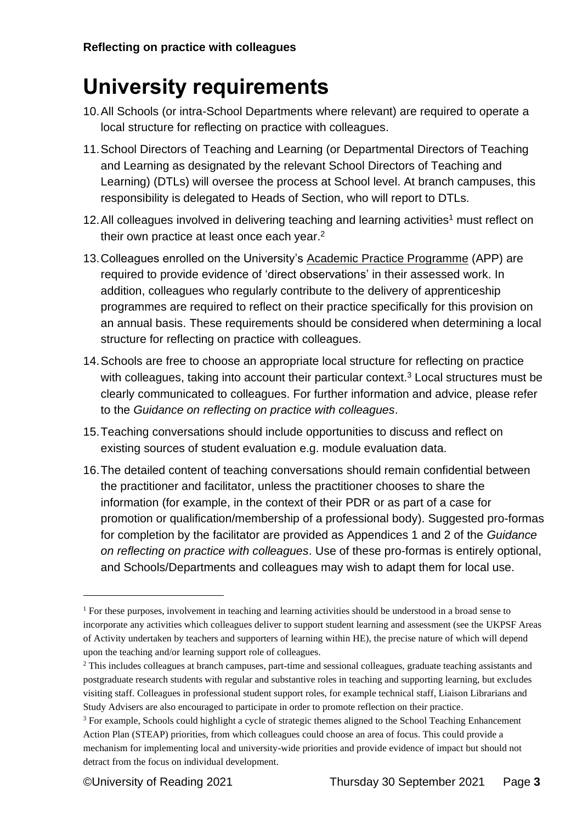### <span id="page-2-0"></span>**University requirements**

- 10.All Schools (or intra-School Departments where relevant) are required to operate a local structure for reflecting on practice with colleagues.
- 11.School Directors of Teaching and Learning (or Departmental Directors of Teaching and Learning as designated by the relevant School Directors of Teaching and Learning) (DTLs) will oversee the process at School level. At branch campuses, this responsibility is delegated to Heads of Section, who will report to DTLs.
- 12. All colleagues involved in delivering teaching and learning activities<sup>1</sup> must reflect on their own practice at least once each year.<sup>2</sup>
- 13.Colleagues enrolled on the University's [Academic Practice Programme](http://www.reading.ac.uk/cqsd-2017/teaching-career/awards-recognition/cqsd-academic-practice-programme.aspx) (APP) are required to provide evidence of 'direct observations' in their assessed work. In addition, colleagues who regularly contribute to the delivery of apprenticeship programmes are required to reflect on their practice specifically for this provision on an annual basis. These requirements should be considered when determining a local structure for reflecting on practice with colleagues.
- 14.Schools are free to choose an appropriate local structure for reflecting on practice with colleagues, taking into account their particular context.<sup>3</sup> Local structures must be clearly communicated to colleagues. For further information and advice, please refer to the *Guidance on reflecting on practice with colleagues*.
- 15.Teaching conversations should include opportunities to discuss and reflect on existing sources of student evaluation e.g. module evaluation data.
- 16.The detailed content of teaching conversations should remain confidential between the practitioner and facilitator, unless the practitioner chooses to share the information (for example, in the context of their PDR or as part of a case for promotion or qualification/membership of a professional body). Suggested pro-formas for completion by the facilitator are provided as Appendices 1 and 2 of the *Guidance on reflecting on practice with colleagues*. Use of these pro-formas is entirely optional, and Schools/Departments and colleagues may wish to adapt them for local use.

<sup>1</sup> For these purposes, involvement in teaching and learning activities should be understood in a broad sense to incorporate any activities which colleagues deliver to support student learning and assessment (see the UKPSF Areas of Activity undertaken by teachers and supporters of learning within HE), the precise nature of which will depend upon the teaching and/or learning support role of colleagues.

<sup>&</sup>lt;sup>2</sup> This includes colleagues at branch campuses, part-time and sessional colleagues, graduate teaching assistants and postgraduate research students with regular and substantive roles in teaching and supporting learning, but excludes visiting staff. Colleagues in professional student support roles, for example technical staff, Liaison Librarians and Study Advisers are also encouraged to participate in order to promote reflection on their practice.

<sup>&</sup>lt;sup>3</sup> For example, Schools could highlight a cycle of strategic themes aligned to the School Teaching Enhancement Action Plan (STEAP) priorities, from which colleagues could choose an area of focus. This could provide a mechanism for implementing local and university-wide priorities and provide evidence of impact but should not detract from the focus on individual development.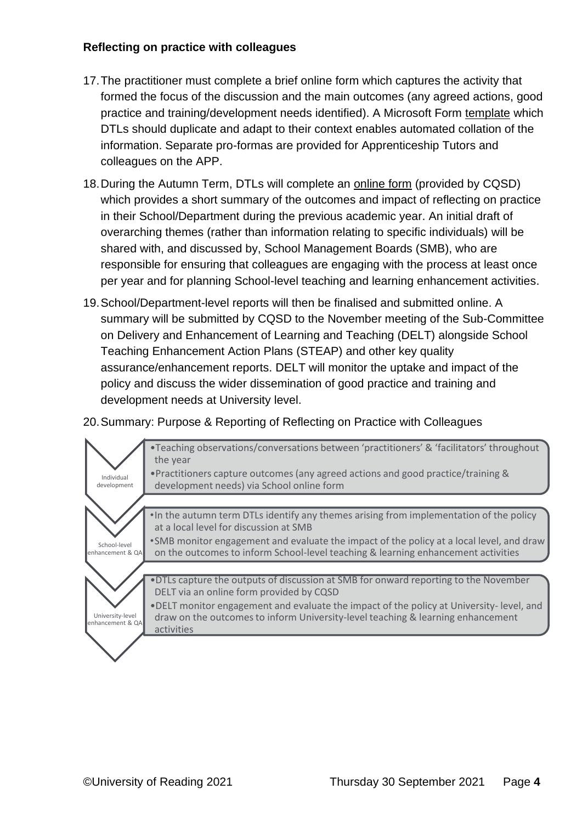#### **Reflecting on practice with colleagues**

- 17.The practitioner must complete a brief online form which captures the activity that formed the focus of the discussion and the main outcomes (any agreed actions, good practice and training/development needs identified). A Microsoft Form [template](https://forms.office.com/Pages/ShareFormPage.aspx?id=xDv6T_zswEiQgPXkP_kOX8joLPqrbCtHo9tC_hP_qW5URjE4U0o5RlhXTk1EM1ZQMUxGMUtEUFRTOS4u&sharetoken=0dYtsuNfJAZLb2Z5Op70) which DTLs should duplicate and adapt to their context enables automated collation of the information. Separate pro-formas are provided for Apprenticeship Tutors and colleagues on the APP.
- 18.During the Autumn Term, DTLs will complete an [online form](https://forms.office.com/Pages/ShareFormPage.aspx?id=xDv6T_zswEiQgPXkP_kOX8joLPqrbCtHo9tC_hP_qW5UQzdLM09aVjBMMjU1QlRDU09PSTY2ODQ0Wi4u&sharetoken=2fNNmULPldIC1IfNob9L&wdLOR=c3C22BDF4-0547-43A7-BD12-B3B2DFE583BF) (provided by CQSD) which provides a short summary of the outcomes and impact of reflecting on practice in their School/Department during the previous academic year. An initial draft of overarching themes (rather than information relating to specific individuals) will be shared with, and discussed by, School Management Boards (SMB), who are responsible for ensuring that colleagues are engaging with the process at least once per year and for planning School-level teaching and learning enhancement activities.
- 19.School/Department-level reports will then be finalised and submitted online. A summary will be submitted by CQSD to the November meeting of the Sub-Committee on Delivery and Enhancement of Learning and Teaching (DELT) alongside School Teaching Enhancement Action Plans (STEAP) and other key quality assurance/enhancement reports. DELT will monitor the uptake and impact of the policy and discuss the wider dissemination of good practice and training and development needs at University level.

#### 20.Summary: Purpose & Reporting of Reflecting on Practice with Colleagues